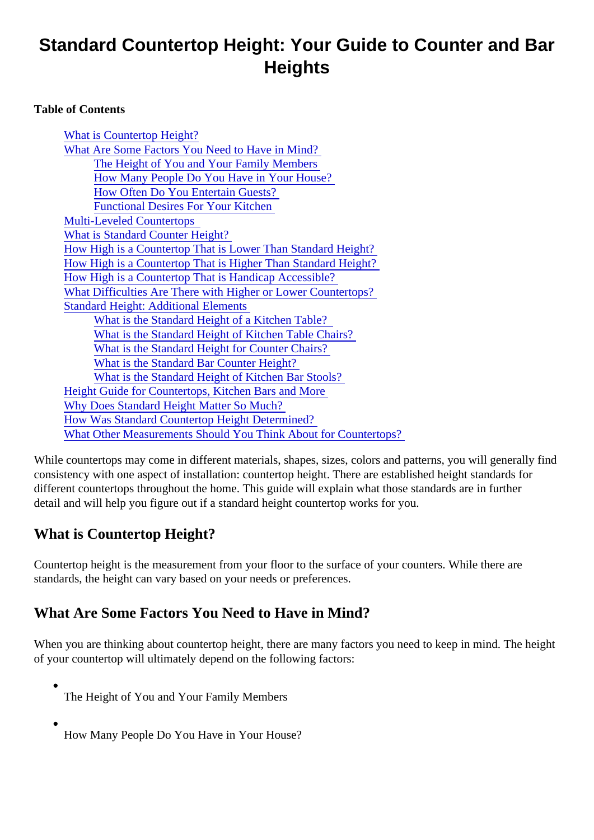# Standard Countertop Height: Your Guide to Counter and Bar **Heights**

Table of Contents

What is Countertop Height? What Are Some Factors You Need to Have in Mind? [The Height of You and Your Family Membe](#page-1-0)rs [How Many People Do You Have in Your Hous](#page-1-0)e? [How Often Do You Entertain Guest](#page-1-0)s? [Functional Desires For Your Kitche](#page-1-0)n [Multi-Leveled Countertops](#page-1-0) [What is Standard Counter Heigh](#page-1-0)t? [How High is a Countertop That is Lower Than Standard Hei](#page-1-0)ght? [How High is a Countertop That is Higher Than Standard He](#page-2-0)ight? [How High is a Countertop That is Handicap Accessib](#page-2-0)le? [What Difficulties Are There with Higher or Lower Countertop](#page-2-0)s? [Standard Height: Additional Elemen](#page-2-0)ts [What is the Standard Height of a Kitchen Tab](#page-2-0)le? [What is the Standard Height of Kitchen Table Cha](#page-2-0)irs? [What is the Standard Height for Counter Cha](#page-2-0)irs? [What is the Standard Bar Counter Heig](#page-2-0)ht? [What is the Standard Height of Kitchen Bar Stoo](#page-2-0)ls? [Height Guide for Countertops, Kitchen Bars and M](#page-3-0)ore [Why Does Standard Height Matter So Muc](#page-3-0)h? [How Was Standard Countertop Height Determin](#page-3-0)ed? [What Other Measurements Should You Think About for Countert](#page-3-0)ops?

While countertops may come in different materials, shapes, sizes, colors and patterns, you will generally fi consistency with one aspect of installation: countertop height. There are established height standards for different countertops throughout the home. This guide will explain what those standards are in further detail and will help you figure out if a standard height countertop works for you.

## What is Countertop Height?

Countertop height is the measurement from your floor to the surface of your counters. While there are standards, the height can vary based on your needs or preferences.

#### What Are Some Factors You Need to Have in Mind?

When you are thinking about countertop height, there are many factors you need to keep in mind. The height of your countertop will ultimately depend on the following factors:

- The Height of You and Your Family Members
- How Many People Do You Have in Your House?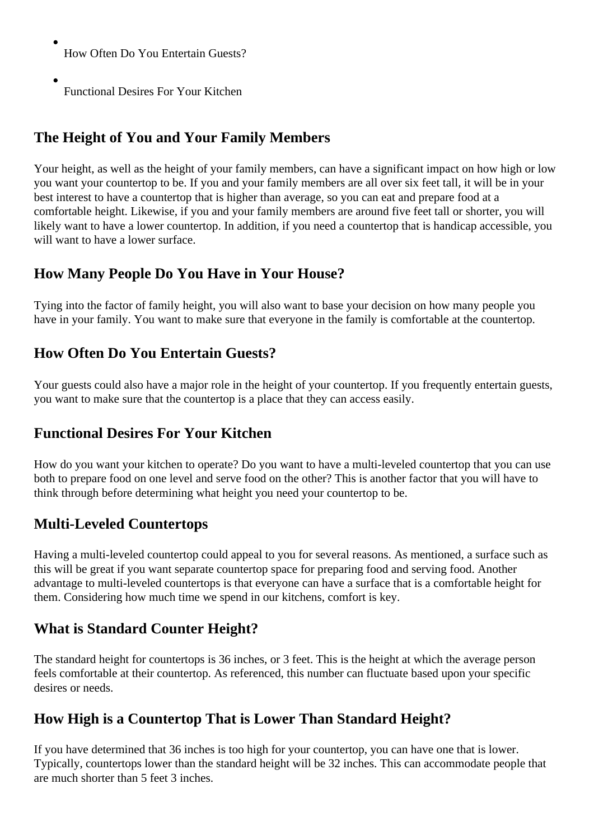<span id="page-1-0"></span>How Often Do You Entertain Guests?

Functional Desires For Your Kitchen

# **The Height of You and Your Family Members**

Your height, as well as the height of your family members, can have a significant impact on how high or low you want your countertop to be. If you and your family members are all over six feet tall, it will be in your best interest to have a countertop that is higher than average, so you can eat and prepare food at a comfortable height. Likewise, if you and your family members are around five feet tall or shorter, you will likely want to have a lower countertop. In addition, if you need a countertop that is handicap accessible, you will want to have a lower surface.

## **How Many People Do You Have in Your House?**

Tying into the factor of family height, you will also want to base your decision on how many people you have in your family. You want to make sure that everyone in the family is comfortable at the countertop.

### **How Often Do You Entertain Guests?**

Your guests could also have a major role in the height of your countertop. If you frequently entertain guests, you want to make sure that the countertop is a place that they can access easily.

#### **Functional Desires For Your Kitchen**

How do you want your kitchen to operate? Do you want to have a multi-leveled countertop that you can use both to prepare food on one level and serve food on the other? This is another factor that you will have to think through before determining what height you need your countertop to be.

## **Multi-Leveled Countertops**

Having a multi-leveled countertop could appeal to you for several reasons. As mentioned, a surface such as this will be great if you want separate countertop space for preparing food and serving food. Another advantage to multi-leveled countertops is that everyone can have a surface that is a comfortable height for them. Considering how much time we spend in our kitchens, comfort is key.

#### **What is Standard Counter Height?**

The standard height for countertops is 36 inches, or 3 feet. This is the height at which the average person feels comfortable at their countertop. As referenced, this number can fluctuate based upon your specific desires or needs.

## **How High is a Countertop That is Lower Than Standard Height?**

If you have determined that 36 inches is too high for your countertop, you can have one that is lower. Typically, countertops lower than the standard height will be 32 inches. This can accommodate people that are much shorter than 5 feet 3 inches.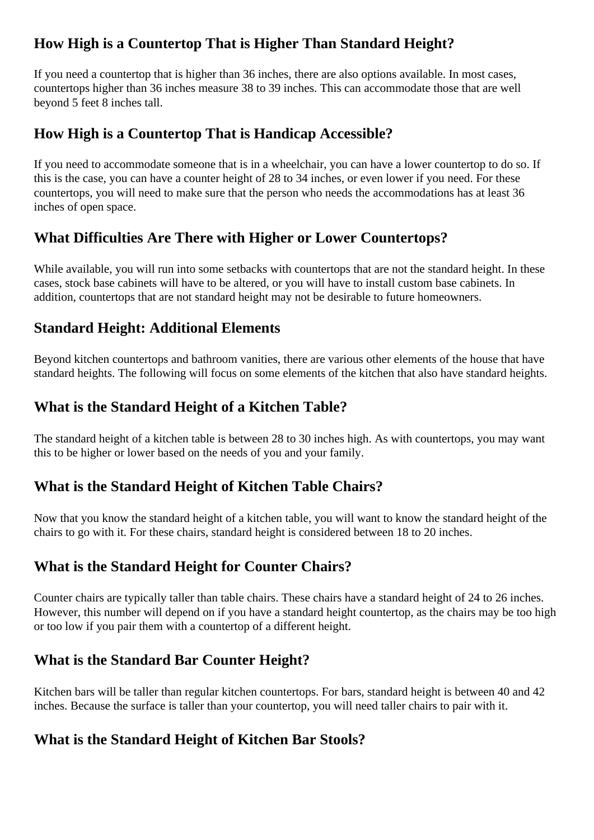## <span id="page-2-0"></span>**How High is a Countertop That is Higher Than Standard Height?**

If you need a countertop that is higher than 36 inches, there are also options available. In most cases, countertops higher than 36 inches measure 38 to 39 inches. This can accommodate those that are well beyond 5 feet 8 inches tall.

#### **How High is a Countertop That is Handicap Accessible?**

If you need to accommodate someone that is in a wheelchair, you can have a lower countertop to do so. If this is the case, you can have a counter height of 28 to 34 inches, or even lower if you need. For these countertops, you will need to make sure that the person who needs the accommodations has at least 36 inches of open space.

#### **What Difficulties Are There with Higher or Lower Countertops?**

While available, you will run into some setbacks with countertops that are not the standard height. In these cases, stock base cabinets will have to be altered, or you will have to install custom base cabinets. In addition, countertops that are not standard height may not be desirable to future homeowners.

#### **Standard Height: Additional Elements**

Beyond kitchen countertops and bathroom vanities, there are various other elements of the house that have standard heights. The following will focus on some elements of the kitchen that also have standard heights.

#### **What is the Standard Height of a Kitchen Table?**

The standard height of a kitchen table is between 28 to 30 inches high. As with countertops, you may want this to be higher or lower based on the needs of you and your family.

#### **What is the Standard Height of Kitchen Table Chairs?**

Now that you know the standard height of a kitchen table, you will want to know the standard height of the chairs to go with it. For these chairs, standard height is considered between 18 to 20 inches.

#### **What is the Standard Height for Counter Chairs?**

Counter chairs are typically taller than table chairs. These chairs have a standard height of 24 to 26 inches. However, this number will depend on if you have a standard height countertop, as the chairs may be too high or too low if you pair them with a countertop of a different height.

#### **What is the Standard Bar Counter Height?**

Kitchen bars will be taller than regular kitchen countertops. For bars, standard height is between 40 and 42 inches. Because the surface is taller than your countertop, you will need taller chairs to pair with it.

#### **What is the Standard Height of Kitchen Bar Stools?**